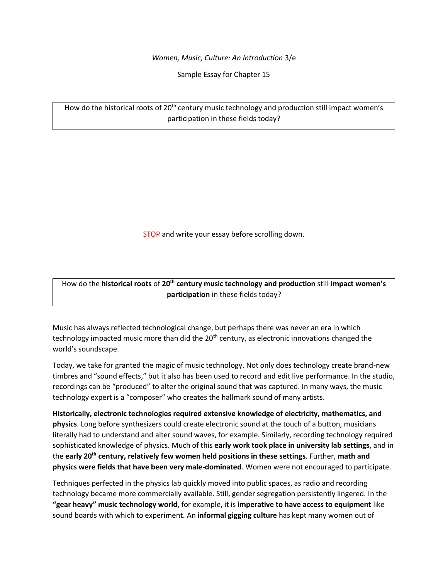*Women, Music, Culture: An Introduction* 3/e

Sample Essay for Chapter 15

How do the historical roots of 20<sup>th</sup> century music technology and production still impact women's participation in these fields today?

STOP and write your essay before scrolling down.

How do the **historical roots** of **20th century music technology and production** still **impact women's participation** in these fields today?

Music has always reflected technological change, but perhaps there was never an era in which technology impacted music more than did the 20<sup>th</sup> century, as electronic innovations changed the world's soundscape.

Today, we take for granted the magic of music technology. Not only does technology create brand-new timbres and "sound effects," but it also has been used to record and edit live performance. In the studio, recordings can be "produced" to alter the original sound that was captured. In many ways, the music technology expert is a "composer" who creates the hallmark sound of many artists.

**Historically, electronic technologies required extensive knowledge of electricity, mathematics, and physics**. Long before synthesizers could create electronic sound at the touch of a button, musicians literally had to understand and alter sound waves, for example. Similarly, recording technology required sophisticated knowledge of physics. Much of this **early work took place in university lab settings**, and in the **early 20th century, relatively few women held positions in these settings**. Further, **math and physics were fields that have been very male-dominated**. Women were not encouraged to participate.

Techniques perfected in the physics lab quickly moved into public spaces, as radio and recording technology became more commercially available. Still, gender segregation persistently lingered. In the **"gear heavy" music technology world**, for example, it is **imperative to have access to equipment** like sound boards with which to experiment. An **informal gigging culture** has kept many women out of